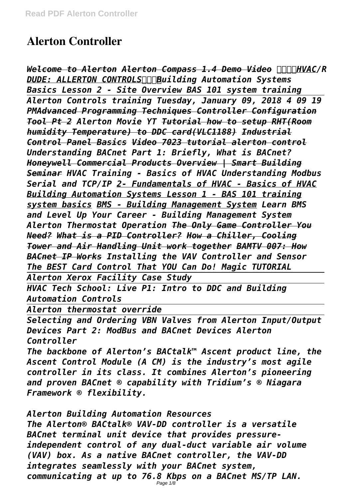# **Alerton Controller**

Welcome to Alerton Alerton Compass 1.4 Demo Video **HIMININIC/R** *DUDE: ALLERTON CONTROLSBuilding Automation Systems Basics Lesson 2 - Site Overview BAS 101 system training Alerton Controls training Tuesday, January 09, 2018 4 09 19 PMAdvanced Programming Techniques Controller Configuration Tool Pt 2 Alerton Movie YT Tutorial how to setup RHT(Room humidity Temperature) to DDC card(VLC1188) Industrial Control Panel Basics Video 7023 tutorial alerton control Understanding BACnet Part 1: Briefly, What is BACnet? Honeywell Commercial Products Overview | Smart Building Seminar HVAC Training - Basics of HVAC Understanding Modbus Serial and TCP/IP 2- Fundamentals of HVAC - Basics of HVAC Building Automation Systems Lesson 1 - BAS 101 training system basics BMS - Building Management System Learn BMS and Level Up Your Career - Building Management System Alerton Thermostat Operation The Only Game Controller You Need? What is a PID Controller? How a Chiller, Cooling Tower and Air Handling Unit work together BAMTV 007: How BACnet IP Works Installing the VAV Controller and Sensor The BEST Card Control That YOU Can Do! Magic TUTORIAL Alerton Xerox Facility Case Study*

*HVAC Tech School: Live P1: Intro to DDC and Building Automation Controls*

*Alerton thermostat override*

*Selecting and Ordering VBN Valves from Alerton Input/Output Devices Part 2: ModBus and BACnet Devices Alerton Controller*

*The backbone of Alerton's BACtalk™ Ascent product line, the Ascent Control Module (A CM) is the industry's most agile controller in its class. It combines Alerton's pioneering and proven BACnet ® capability with Tridium's ® Niagara Framework ® flexibility.*

*Alerton Building Automation Resources*

*The Alerton® BACtalk® VAV-DD controller is a versatile BACnet terminal unit device that provides pressureindependent control of any dual-duct variable air volume (VAV) box. As a native BACnet controller, the VAV-DD integrates seamlessly with your BACnet system, communicating at up to 76.8 Kbps on a BACnet MS/TP LAN.*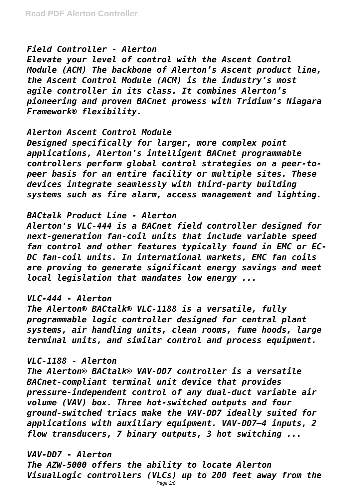## *Field Controller - Alerton*

*Elevate your level of control with the Ascent Control Module (ACM) The backbone of Alerton's Ascent product line, the Ascent Control Module (ACM) is the industry's most agile controller in its class. It combines Alerton's pioneering and proven BACnet prowess with Tridium's Niagara Framework® flexibility.*

## *Alerton Ascent Control Module*

*Designed specifically for larger, more complex point applications, Alerton's intelligent BACnet programmable controllers perform global control strategies on a peer-topeer basis for an entire facility or multiple sites. These devices integrate seamlessly with third-party building systems such as fire alarm, access management and lighting.*

## *BACtalk Product Line - Alerton*

*Alerton's VLC-444 is a BACnet field controller designed for next-generation fan-coil units that include variable speed fan control and other features typically found in EMC or EC-DC fan-coil units. In international markets, EMC fan coils are proving to generate significant energy savings and meet local legislation that mandates low energy ...*

## *VLC-444 - Alerton*

*The Alerton® BACtalk® VLC-1188 is a versatile, fully programmable logic controller designed for central plant systems, air handling units, clean rooms, fume hoods, large terminal units, and similar control and process equipment.*

## *VLC-1188 - Alerton*

*The Alerton® BACtalk® VAV-DD7 controller is a versatile BACnet-compliant terminal unit device that provides pressure-independent control of any dual-duct variable air volume (VAV) box. Three hot-switched outputs and four ground-switched triacs make the VAV-DD7 ideally suited for applications with auxiliary equipment. VAV-DD7—4 inputs, 2 flow transducers, 7 binary outputs, 3 hot switching ...*

## *VAV-DD7 - Alerton*

*The AZW-5000 offers the ability to locate Alerton VisualLogic controllers (VLCs) up to 200 feet away from the* Page 2/8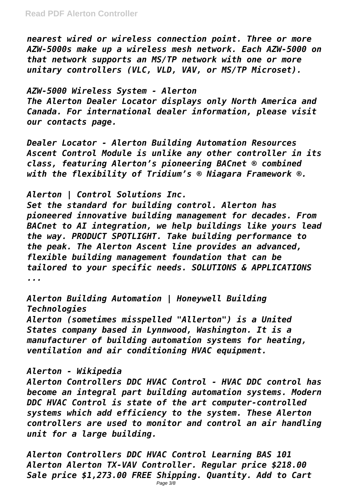*nearest wired or wireless connection point. Three or more AZW-5000s make up a wireless mesh network. Each AZW-5000 on that network supports an MS/TP network with one or more unitary controllers (VLC, VLD, VAV, or MS/TP Microset).*

*AZW-5000 Wireless System - Alerton The Alerton Dealer Locator displays only North America and Canada. For international dealer information, please visit our contacts page.*

*Dealer Locator - Alerton Building Automation Resources Ascent Control Module is unlike any other controller in its class, featuring Alerton's pioneering BACnet ® combined with the flexibility of Tridium's ® Niagara Framework ®.*

*Alerton | Control Solutions Inc.*

*Set the standard for building control. Alerton has pioneered innovative building management for decades. From BACnet to AI integration, we help buildings like yours lead the way. PRODUCT SPOTLIGHT. Take building performance to the peak. The Alerton Ascent line provides an advanced, flexible building management foundation that can be tailored to your specific needs. SOLUTIONS & APPLICATIONS ...*

*Alerton Building Automation | Honeywell Building Technologies Alerton (sometimes misspelled "Allerton") is a United States company based in Lynnwood, Washington. It is a manufacturer of building automation systems for heating, ventilation and air conditioning HVAC equipment.*

## *Alerton - Wikipedia*

*Alerton Controllers DDC HVAC Control - HVAC DDC control has become an integral part building automation systems. Modern DDC HVAC Control is state of the art computer-controlled systems which add efficiency to the system. These Alerton controllers are used to monitor and control an air handling unit for a large building.*

*Alerton Controllers DDC HVAC Control Learning BAS 101 Alerton Alerton TX-VAV Controller. Regular price \$218.00 Sale price \$1,273.00 FREE Shipping. Quantity. Add to Cart*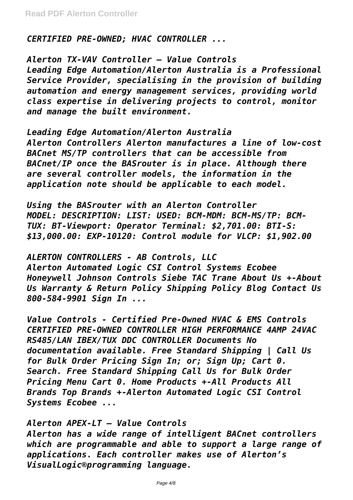*CERTIFIED PRE-OWNED; HVAC CONTROLLER ...*

*Alerton TX-VAV Controller – Value Controls Leading Edge Automation/Alerton Australia is a Professional Service Provider, specialising in the provision of building automation and energy management services, providing world class expertise in delivering projects to control, monitor and manage the built environment.*

*Leading Edge Automation/Alerton Australia Alerton Controllers Alerton manufactures a line of low-cost BACnet MS/TP controllers that can be accessible from BACnet/IP once the BASrouter is in place. Although there are several controller models, the information in the application note should be applicable to each model.*

*Using the BASrouter with an Alerton Controller MODEL: DESCRIPTION: LIST: USED: BCM-MDM: BCM-MS/TP: BCM-TUX: BT-Viewport: Operator Terminal: \$2,701.00: BTI-S: \$13,000.00: EXP-10120: Control module for VLCP: \$1,902.00*

*ALERTON CONTROLLERS - AB Controls, LLC Alerton Automated Logic CSI Control Systems Ecobee Honeywell Johnson Controls Siebe TAC Trane About Us +-About Us Warranty & Return Policy Shipping Policy Blog Contact Us 800-584-9901 Sign In ...*

*Value Controls - Certified Pre-Owned HVAC & EMS Controls CERTIFIED PRE-OWNED CONTROLLER HIGH PERFORMANCE 4AMP 24VAC RS485/LAN IBEX/TUX DDC CONTROLLER Documents No documentation available. Free Standard Shipping | Call Us for Bulk Order Pricing Sign In; or; Sign Up; Cart 0. Search. Free Standard Shipping Call Us for Bulk Order Pricing Menu Cart 0. Home Products +-All Products All Brands Top Brands +-Alerton Automated Logic CSI Control Systems Ecobee ...*

*Alerton APEX-LT – Value Controls Alerton has a wide range of intelligent BACnet controllers which are programmable and able to support a large range of applications. Each controller makes use of Alerton's VisualLogic®programming language.*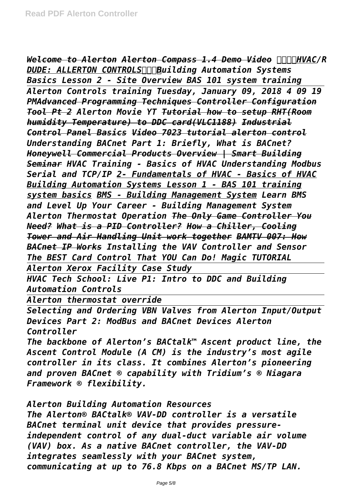**Welcome to Alerton Alerton Compass 1.4 Demo Video <b>ANAIVAC/R** *DUDE: ALLERTON CONTROLSBuilding Automation Systems Basics Lesson 2 - Site Overview BAS 101 system training Alerton Controls training Tuesday, January 09, 2018 4 09 19 PMAdvanced Programming Techniques Controller Configuration Tool Pt 2 Alerton Movie YT Tutorial how to setup RHT(Room humidity Temperature) to DDC card(VLC1188) Industrial Control Panel Basics Video 7023 tutorial alerton control Understanding BACnet Part 1: Briefly, What is BACnet? Honeywell Commercial Products Overview | Smart Building Seminar HVAC Training - Basics of HVAC Understanding Modbus Serial and TCP/IP 2- Fundamentals of HVAC - Basics of HVAC Building Automation Systems Lesson 1 - BAS 101 training system basics BMS - Building Management System Learn BMS and Level Up Your Career - Building Management System Alerton Thermostat Operation The Only Game Controller You Need? What is a PID Controller? How a Chiller, Cooling Tower and Air Handling Unit work together BAMTV 007: How BACnet IP Works Installing the VAV Controller and Sensor The BEST Card Control That YOU Can Do! Magic TUTORIAL* 

*Alerton Xerox Facility Case Study*

*HVAC Tech School: Live P1: Intro to DDC and Building Automation Controls*

*Alerton thermostat override*

*Selecting and Ordering VBN Valves from Alerton Input/Output Devices Part 2: ModBus and BACnet Devices Alerton Controller*

*The backbone of Alerton's BACtalk™ Ascent product line, the Ascent Control Module (A CM) is the industry's most agile controller in its class. It combines Alerton's pioneering and proven BACnet ® capability with Tridium's ® Niagara Framework ® flexibility.*

*Alerton Building Automation Resources*

*The Alerton® BACtalk® VAV-DD controller is a versatile BACnet terminal unit device that provides pressureindependent control of any dual-duct variable air volume (VAV) box. As a native BACnet controller, the VAV-DD integrates seamlessly with your BACnet system, communicating at up to 76.8 Kbps on a BACnet MS/TP LAN.*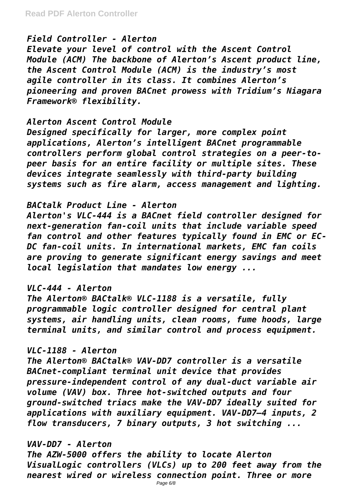## *Field Controller - Alerton*

*Elevate your level of control with the Ascent Control Module (ACM) The backbone of Alerton's Ascent product line, the Ascent Control Module (ACM) is the industry's most agile controller in its class. It combines Alerton's pioneering and proven BACnet prowess with Tridium's Niagara Framework® flexibility.*

## *Alerton Ascent Control Module*

*Designed specifically for larger, more complex point applications, Alerton's intelligent BACnet programmable controllers perform global control strategies on a peer-topeer basis for an entire facility or multiple sites. These devices integrate seamlessly with third-party building systems such as fire alarm, access management and lighting.*

## *BACtalk Product Line - Alerton*

*Alerton's VLC-444 is a BACnet field controller designed for next-generation fan-coil units that include variable speed fan control and other features typically found in EMC or EC-DC fan-coil units. In international markets, EMC fan coils are proving to generate significant energy savings and meet local legislation that mandates low energy ...*

## *VLC-444 - Alerton*

*The Alerton® BACtalk® VLC-1188 is a versatile, fully programmable logic controller designed for central plant systems, air handling units, clean rooms, fume hoods, large terminal units, and similar control and process equipment.*

## *VLC-1188 - Alerton*

*The Alerton® BACtalk® VAV-DD7 controller is a versatile BACnet-compliant terminal unit device that provides pressure-independent control of any dual-duct variable air volume (VAV) box. Three hot-switched outputs and four ground-switched triacs make the VAV-DD7 ideally suited for applications with auxiliary equipment. VAV-DD7—4 inputs, 2 flow transducers, 7 binary outputs, 3 hot switching ...*

## *VAV-DD7 - Alerton*

*The AZW-5000 offers the ability to locate Alerton VisualLogic controllers (VLCs) up to 200 feet away from the nearest wired or wireless connection point. Three or more*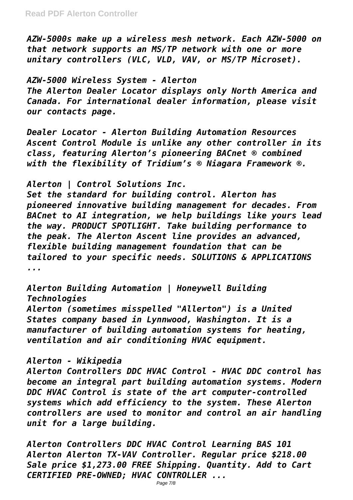*AZW-5000s make up a wireless mesh network. Each AZW-5000 on that network supports an MS/TP network with one or more unitary controllers (VLC, VLD, VAV, or MS/TP Microset).*

*AZW-5000 Wireless System - Alerton The Alerton Dealer Locator displays only North America and Canada. For international dealer information, please visit our contacts page.*

*Dealer Locator - Alerton Building Automation Resources Ascent Control Module is unlike any other controller in its class, featuring Alerton's pioneering BACnet ® combined with the flexibility of Tridium's ® Niagara Framework ®.*

# *Alerton | Control Solutions Inc.*

*Set the standard for building control. Alerton has pioneered innovative building management for decades. From BACnet to AI integration, we help buildings like yours lead the way. PRODUCT SPOTLIGHT. Take building performance to the peak. The Alerton Ascent line provides an advanced, flexible building management foundation that can be tailored to your specific needs. SOLUTIONS & APPLICATIONS ...*

*Alerton Building Automation | Honeywell Building Technologies*

*Alerton (sometimes misspelled "Allerton") is a United States company based in Lynnwood, Washington. It is a manufacturer of building automation systems for heating, ventilation and air conditioning HVAC equipment.*

# *Alerton - Wikipedia*

*Alerton Controllers DDC HVAC Control - HVAC DDC control has become an integral part building automation systems. Modern DDC HVAC Control is state of the art computer-controlled systems which add efficiency to the system. These Alerton controllers are used to monitor and control an air handling unit for a large building.*

*Alerton Controllers DDC HVAC Control Learning BAS 101 Alerton Alerton TX-VAV Controller. Regular price \$218.00 Sale price \$1,273.00 FREE Shipping. Quantity. Add to Cart CERTIFIED PRE-OWNED; HVAC CONTROLLER ...*